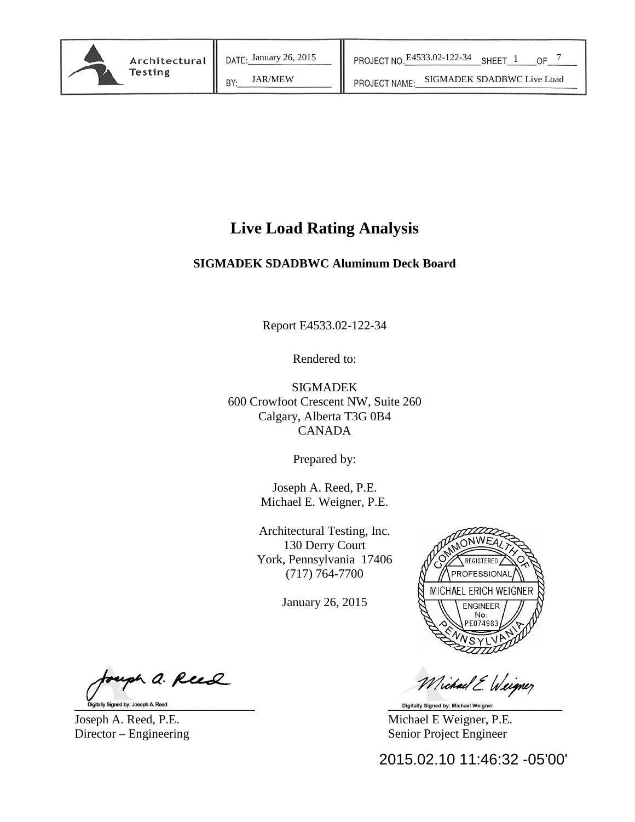JAR/MEW | PROJECT NAME: SIGMADEK SDADBWC Live Load

## **Live Load Rating Analysis**

## **SIGMADEK SDADBWC Aluminum Deck Board**

Report E4533.02-122-34

Rendered to:

SIGMADEK 600 Crowfoot Crescent NW, Suite 260 Calgary, Alberta T3G 0B4 CANADA

Prepared by:

Joseph A. Reed, P.E. Michael E. Weigner, P.E.

Architectural Testing, Inc. 130 Derry Court York, Pennsylvania 17406 (717) 764-7700

January 26, 2015



Michael E. Weigner

Joseph A. Reed, P.E. Michael E Weigner, P.E. Director – Engineering Senior Project Engineer

2015.02.10 11:46:32 -05'00'

uph a. Reed Signed by: Joseph A. Reed the second second second second second second second second second second second second second second second second second second second second second second second second second second second sec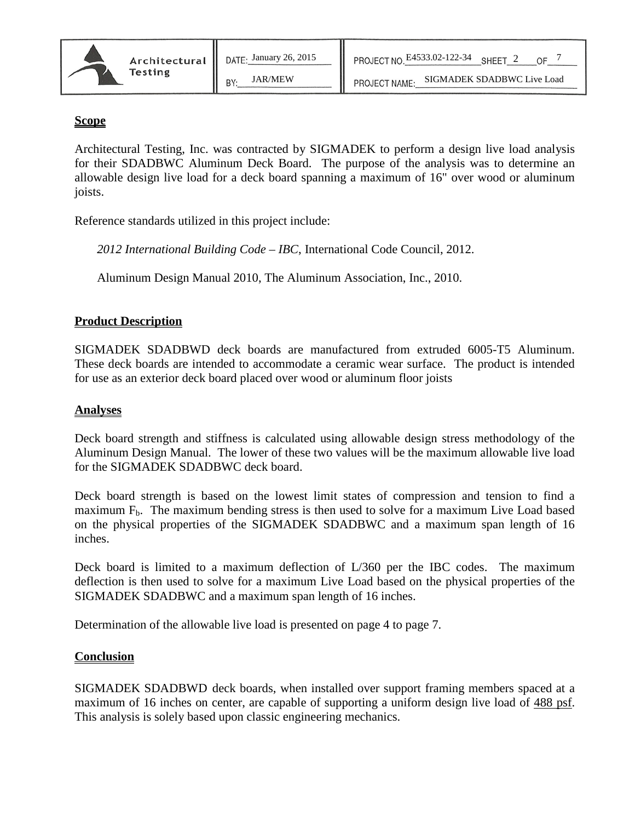#### **Scope**

Architectural Testing, Inc. was contracted by SIGMADEK to perform a design live load analysis for their SDADBWC Aluminum Deck Board. The purpose of the analysis was to determine an allowable design live load for a deck board spanning a maximum of 16" over wood or aluminum joists.

Reference standards utilized in this project include:

*2012 International Building Code – IBC*, International Code Council, 2012.

Aluminum Design Manual 2010, The Aluminum Association, Inc., 2010.

## **Product Description**

SIGMADEK SDADBWD deck boards are manufactured from extruded 6005-T5 Aluminum. These deck boards are intended to accommodate a ceramic wear surface. The product is intended for use as an exterior deck board placed over wood or aluminum floor joists

## **Analyses**

Deck board strength and stiffness is calculated using allowable design stress methodology of the Aluminum Design Manual. The lower of these two values will be the maximum allowable live load for the SIGMADEK SDADBWC deck board.

Deck board strength is based on the lowest limit states of compression and tension to find a maximum  $F_b$ . The maximum bending stress is then used to solve for a maximum Live Load based on the physical properties of the SIGMADEK SDADBWC and a maximum span length of 16 inches.

Deck board is limited to a maximum deflection of L/360 per the IBC codes. The maximum deflection is then used to solve for a maximum Live Load based on the physical properties of the SIGMADEK SDADBWC and a maximum span length of 16 inches.

Determination of the allowable live load is presented on page 4 to page 7.

#### **Conclusion**

SIGMADEK SDADBWD deck boards, when installed over support framing members spaced at a maximum of 16 inches on center, are capable of supporting a uniform design live load of 488 psf. This analysis is solely based upon classic engineering mechanics.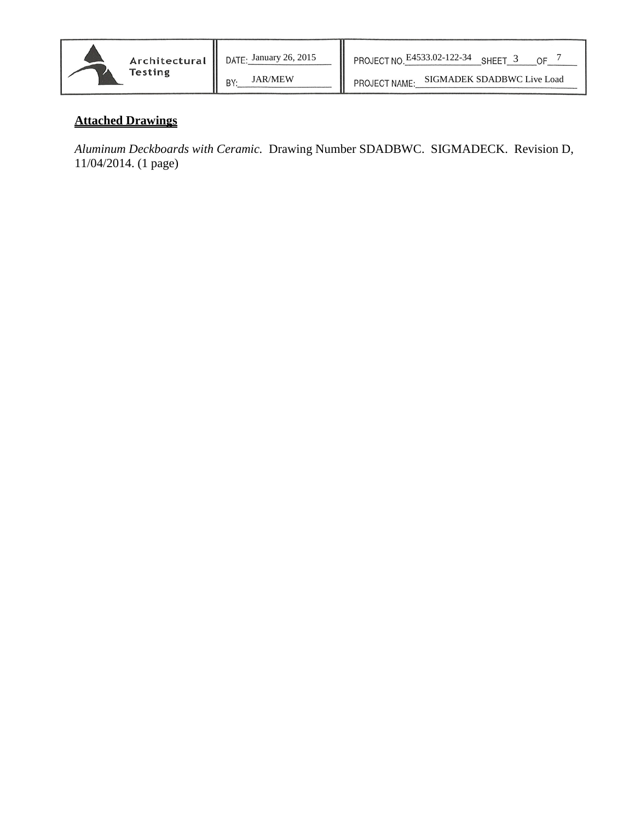

JAR/MEW | PROJECT NAME: SIGMADEK SDADBWC Live Load

## **Attached Drawings**

*Aluminum Deckboards with Ceramic.* Drawing Number SDADBWC. SIGMADECK. Revision D, 11/04/2014. (1 page)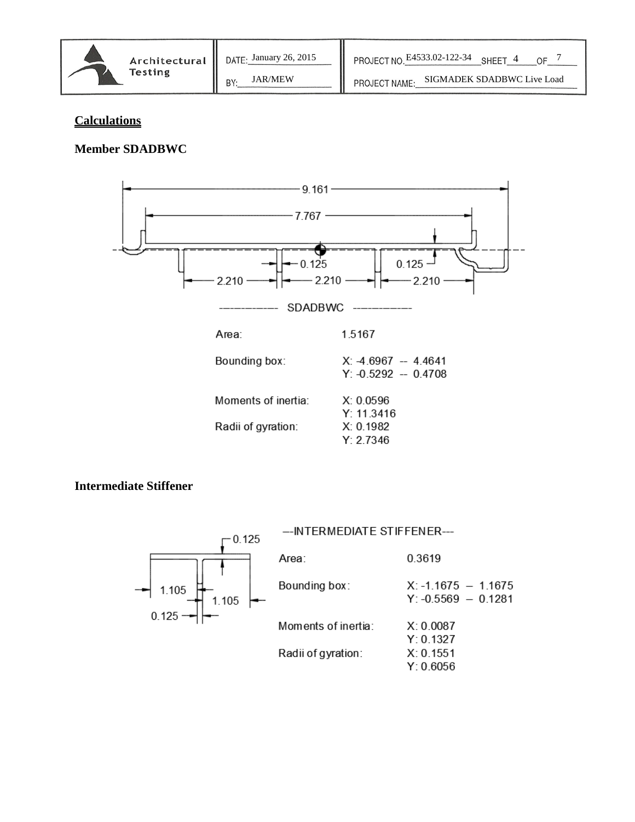

JAR/MEW PROJECT NAME: SIGMADEK SDADBWC Live Load

## **Calculations**

## **Member SDADBWC**



## **Intermediate Stiffener**

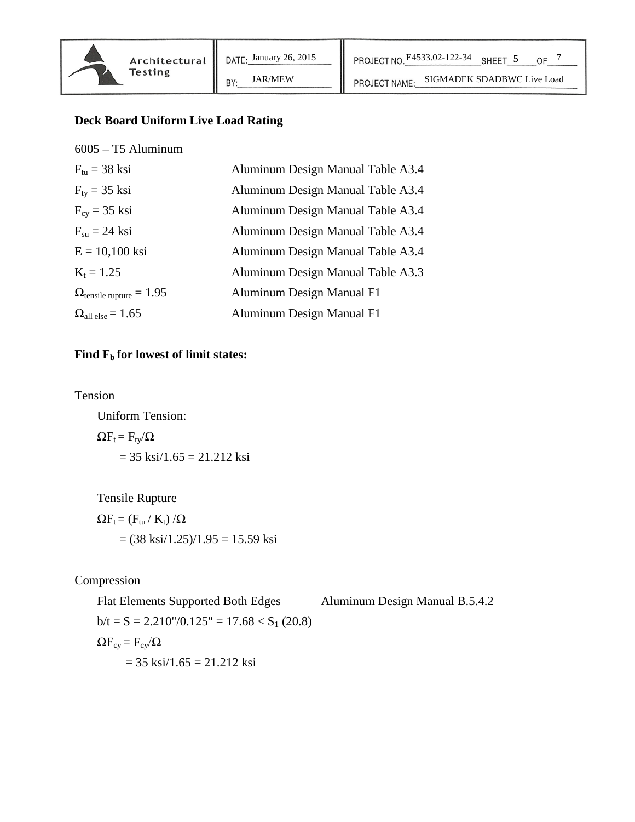BY:

## **Deck Board Uniform Live Load Rating**

| $6005 - T5$ Aluminum                     |                                   |
|------------------------------------------|-----------------------------------|
| $F_{\text{tu}} = 38$ ksi                 | Aluminum Design Manual Table A3.4 |
| $F_{tv}$ = 35 ksi                        | Aluminum Design Manual Table A3.4 |
| $F_{cy} = 35$ ksi                        | Aluminum Design Manual Table A3.4 |
| $F_{\rm su} = 24$ ksi                    | Aluminum Design Manual Table A3.4 |
| $E = 10,100$ ksi                         | Aluminum Design Manual Table A3.4 |
| $K_t = 1.25$                             | Aluminum Design Manual Table A3.3 |
| $\Omega_{\text{tensile rupture}} = 1.95$ | Aluminum Design Manual F1         |
| $\Omega_{\text{all else}} = 1.65$        | Aluminum Design Manual F1         |

## Find  $F_b$  for lowest of limit states:

Tension

Uniform Tension:  $\Omega F_t = F_{ty}/\Omega$  $= 35$  ksi $/1.65 = 21.212$  ksi

Tensile Rupture

 $\Omega F_t = (F_{tu}/K_t)/\Omega$  $= (38 \text{ ks}i/1.25)/1.95 = 15.59 \text{ ks}i$ 

Compression

Flat Elements Supported Both Edges Aluminum Design Manual B.5.4.2  $b/t = S = 2.210''/0.125'' = 17.68 < S<sub>1</sub> (20.8)$  $\Omega$ F<sub>cy</sub> = F<sub>cy</sub>/ $\Omega$  $= 35$  ksi $/1.65 = 21.212$  ksi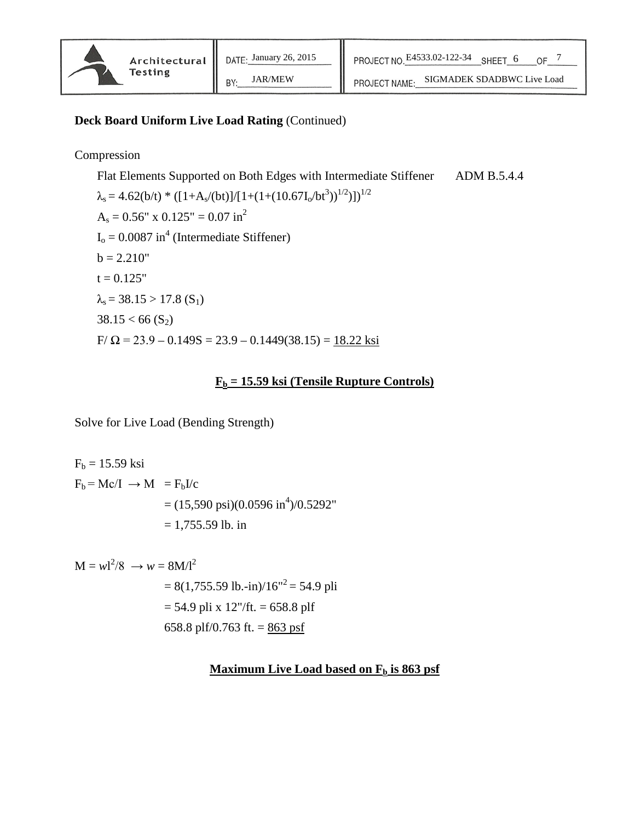#### **Deck Board Uniform Live Load Rating** (Continued)

BY:

## Compression

Flat Elements Supported on Both Edges with Intermediate Stiffener ADM B.5.4.4  $\lambda_s = 4.62(b/t) * ([1+A_s/(bt)]/[1+(1+(10.67I_0/bt^3))^{1/2})])^{1/2}$  $A_s = 0.56''$  x  $0.125'' = 0.07$  in<sup>2</sup>  $I_0 = 0.0087$  in<sup>4</sup> (Intermediate Stiffener)  $b = 2.210"$  $t = 0.125"$  $\lambda_s = 38.15 > 17.8$  (S<sub>1</sub>)  $38.15 < 66$  (S<sub>2</sub>)  $F/\Omega$  = 23.9 – 0.149S = 23.9 – 0.1449(38.15) = 18.22 ksi

## **Fb = 15.59 ksi (Tensile Rupture Controls)**

Solve for Live Load (Bending Strength)

$$
F_b = 15.59 \text{ ksi}
$$
  
\n
$$
F_b = \text{Mc/I} \rightarrow M = F_b I/c
$$
  
\n
$$
= (15,590 \text{ psi})(0.0596 \text{ in}^4)/0.5292^{\circ}
$$
  
\n
$$
= 1,755.59 \text{ lb. in}
$$

$$
M = wI^{2}/8 \rightarrow w = 8M/I^{2}
$$
  
= 8(1,755.59 lb.-in)/16<sup>1</sup><sup>2</sup> = 54.9 pli  
= 54.9 pli x 12<sup>1</sup>/ft. = 658.8 plf  
658.8 plf/0.763 ft. = 863 psf

#### **Maximum Live Load based on F<sub>b</sub> is 863 psf**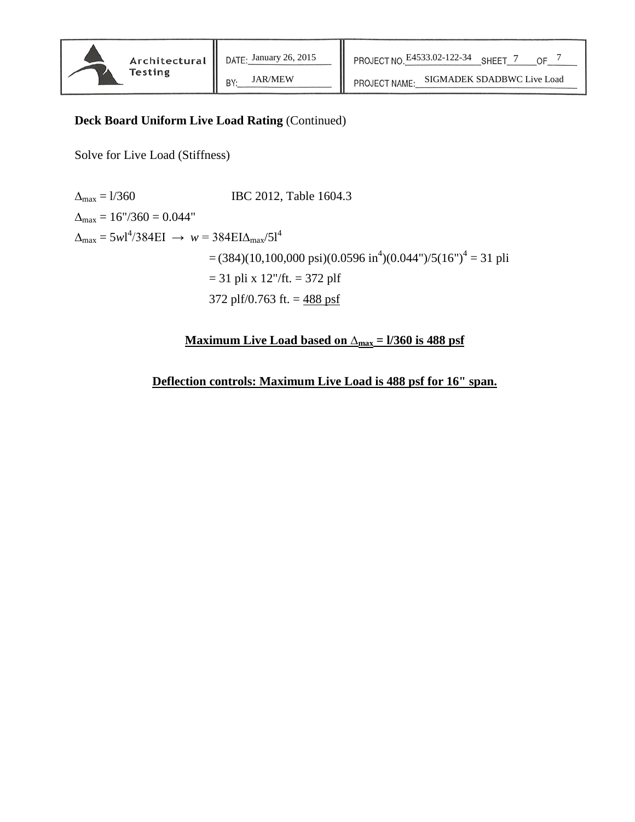## **Deck Board Uniform Live Load Rating** (Continued)

BY:

Solve for Live Load (Stiffness)

 $\Delta_{\text{max}} = 1/360$  IBC 2012, Table 1604.3  $\Delta_{\text{max}} = 16''/360 = 0.044''$  $\Delta_{\text{max}} = 5 \text{w1}^4 / 384 \text{EI} \rightarrow \text{w} = 384 \text{EI} \Delta_{\text{max}} / 51^4$  $=(384)(10,100,000 \text{ psi})(0.0596 \text{ in}^4)(0.044 \text{''})/5(16 \text{''})^4 = 31 \text{ phi}$  $= 31$  pli x 12"/ft.  $= 372$  plf 372 plf/0.763 ft.  $=$  488 psf

**Maximum Live Load based on ∆max = l/360 is 488 psf**

**Deflection controls: Maximum Live Load is 488 psf for 16" span.**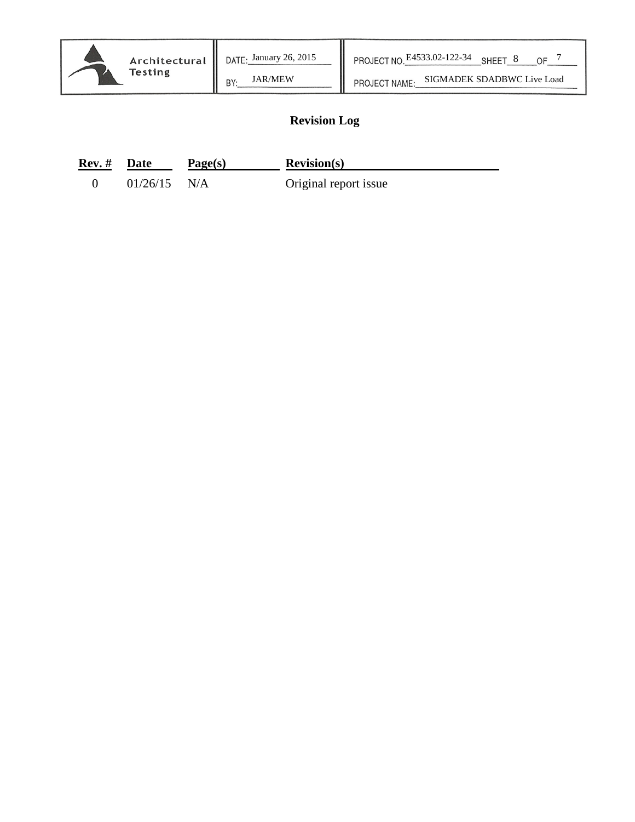# JAR/MEW | PROJECT NAME: SIGMADEK SDADBWC Live Load

## **Revision Log**

| <b>Rev.</b> # Date |                | Page(s) | Revision(s)           |
|--------------------|----------------|---------|-----------------------|
|                    | $01/26/15$ N/A |         | Original report issue |